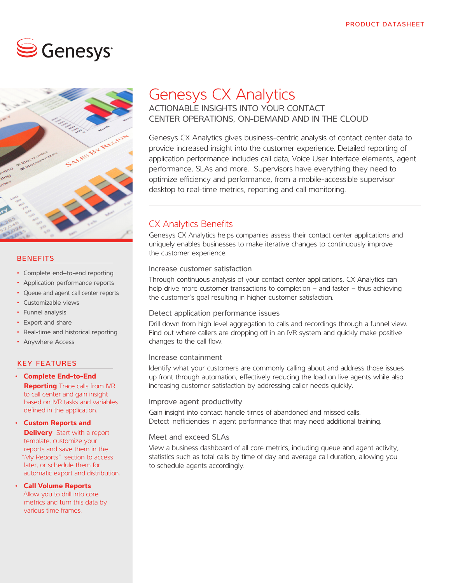# $\mathbf{\mathbf{\odot}}$  Genesys:



#### **BENEFITS**

- Complete end–to-end reporting
- Application performance reports
- Queue and agent call center reports
- Customizable views
- Funnel analysis
- Export and share
- Real-time and historical reporting
- Anywhere Access

#### KEY FEATURES

- **Complete End-to-End Reporting** Trace calls from IVR to call center and gain insight based on IVR tasks and variables defined in the application.
- **Custom Reports and Delivery** Start with a report template, customize your reports and save them in the "My Reports" section to access later, or schedule them for automatic export and distribution.
- **Call Volume Reports**  Allow you to drill into core metrics and turn this data by various time frames.

# Genesys CX Analytics

ACTIONABLE INSIGHTS INTO YOUR CONTACT CENTER OPERATIONS, ON-DEMAND AND IN THE CLOUD

Genesys CX Analytics gives business-centric analysis of contact center data to provide increased insight into the customer experience. Detailed reporting of application performance includes call data, Voice User Interface elements, agent performance, SLAs and more. Supervisors have everything they need to optimize efficiency and performance, from a mobile-accessible supervisor desktop to real-time metrics, reporting and call monitoring.

## CX Analytics Benefits

Genesys CX Analytics helps companies assess their contact center applications and uniquely enables businesses to make iterative changes to continuously improve the customer experience.

#### Increase customer satisfaction

Through continuous analysis of your contact center applications, CX Analytics can help drive more customer transactions to completion – and faster – thus achieving the customer's goal resulting in higher customer satisfaction.

#### Detect application performance issues

Drill down from high level aggregation to calls and recordings through a funnel view. Find out where callers are dropping off in an IVR system and quickly make positive changes to the call flow.

#### Increase containment

Identify what your customers are commonly calling about and address those issues up front through automation, effectively reducing the load on live agents while also increasing customer satisfaction by addressing caller needs quickly.

#### Improve agent productivity

Gain insight into contact handle times of abandoned and missed calls. Detect inefficiencies in agent performance that may need additional training.

#### Meet and exceed SLAs

View a business dashboard of all core metrics, including queue and agent activity, statistics such as total calls by time of day and average call duration, allowing you to schedule agents accordingly.